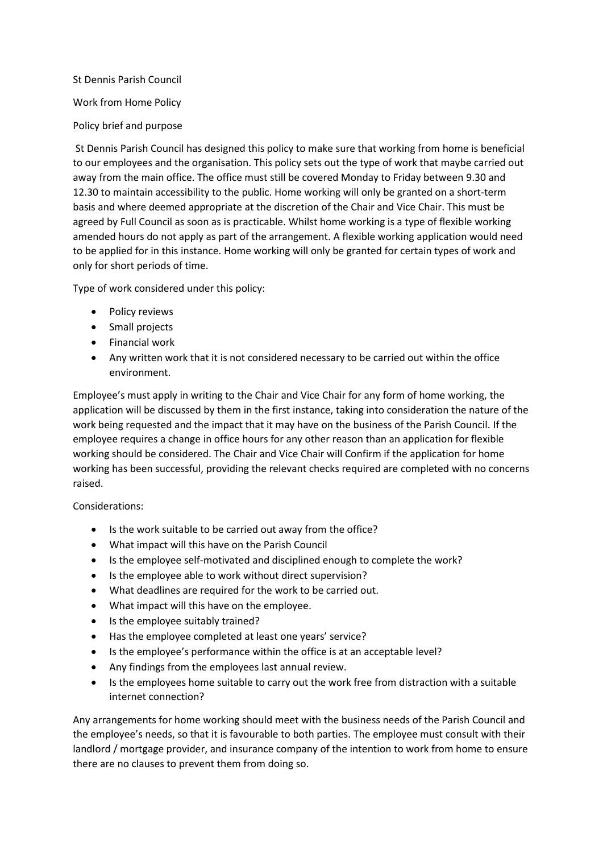## St Dennis Parish Council Work from Home Policy Policy brief and purpose

St Dennis Parish Council has designed this policy to make sure that working from home is beneficial to our employees and the organisation. This policy sets out the type of work that maybe carried out away from the main office. The office must still be covered Monday to Friday between 9.30 and 12.30 to maintain accessibility to the public. Home working will only be granted on a short-term basis and where deemed appropriate at the discretion of the Chair and Vice Chair. This must be agreed by Full Council as soon as is practicable. Whilst home working is a type of flexible working amended hours do not apply as part of the arrangement. A flexible working application would need to be applied for in this instance. Home working will only be granted for certain types of work and only for short periods of time.

Type of work considered under this policy:

- Policy reviews
- Small projects
- Financial work
- Any written work that it is not considered necessary to be carried out within the office environment.

Employee's must apply in writing to the Chair and Vice Chair for any form of home working, the application will be discussed by them in the first instance, taking into consideration the nature of the work being requested and the impact that it may have on the business of the Parish Council. If the employee requires a change in office hours for any other reason than an application for flexible working should be considered. The Chair and Vice Chair will Confirm if the application for home working has been successful, providing the relevant checks required are completed with no concerns raised.

Considerations:

- Is the work suitable to be carried out away from the office?
- What impact will this have on the Parish Council
- Is the employee self-motivated and disciplined enough to complete the work?
- Is the employee able to work without direct supervision?
- What deadlines are required for the work to be carried out.
- What impact will this have on the employee.
- Is the employee suitably trained?
- Has the employee completed at least one years' service?
- Is the employee's performance within the office is at an acceptable level?
- Any findings from the employees last annual review.
- Is the employees home suitable to carry out the work free from distraction with a suitable internet connection?

Any arrangements for home working should meet with the business needs of the Parish Council and the employee's needs, so that it is favourable to both parties. The employee must consult with their landlord / mortgage provider, and insurance company of the intention to work from home to ensure there are no clauses to prevent them from doing so.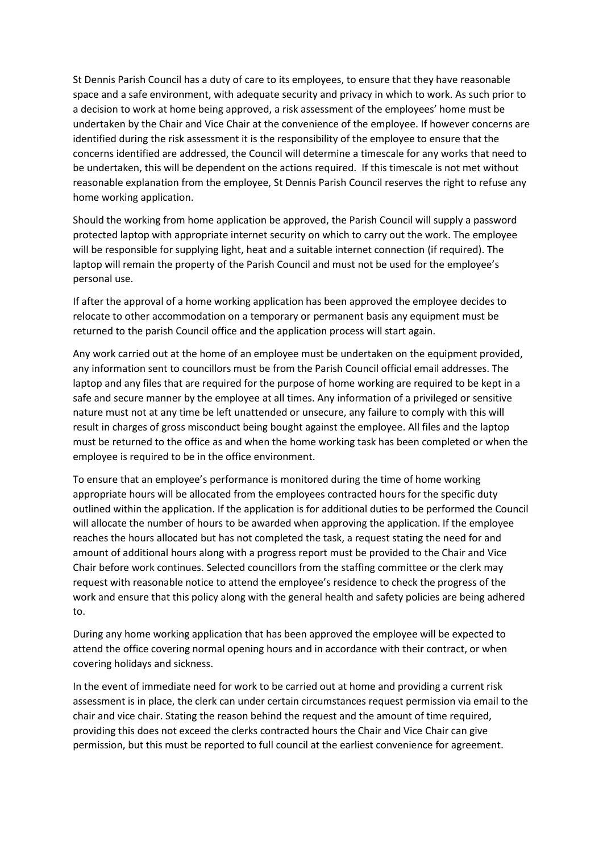St Dennis Parish Council has a duty of care to its employees, to ensure that they have reasonable space and a safe environment, with adequate security and privacy in which to work. As such prior to a decision to work at home being approved, a risk assessment of the employees' home must be undertaken by the Chair and Vice Chair at the convenience of the employee. If however concerns are identified during the risk assessment it is the responsibility of the employee to ensure that the concerns identified are addressed, the Council will determine a timescale for any works that need to be undertaken, this will be dependent on the actions required. If this timescale is not met without reasonable explanation from the employee, St Dennis Parish Council reserves the right to refuse any home working application.

Should the working from home application be approved, the Parish Council will supply a password protected laptop with appropriate internet security on which to carry out the work. The employee will be responsible for supplying light, heat and a suitable internet connection (if required). The laptop will remain the property of the Parish Council and must not be used for the employee's personal use.

If after the approval of a home working application has been approved the employee decides to relocate to other accommodation on a temporary or permanent basis any equipment must be returned to the parish Council office and the application process will start again.

Any work carried out at the home of an employee must be undertaken on the equipment provided, any information sent to councillors must be from the Parish Council official email addresses. The laptop and any files that are required for the purpose of home working are required to be kept in a safe and secure manner by the employee at all times. Any information of a privileged or sensitive nature must not at any time be left unattended or unsecure, any failure to comply with this will result in charges of gross misconduct being bought against the employee. All files and the laptop must be returned to the office as and when the home working task has been completed or when the employee is required to be in the office environment.

To ensure that an employee's performance is monitored during the time of home working appropriate hours will be allocated from the employees contracted hours for the specific duty outlined within the application. If the application is for additional duties to be performed the Council will allocate the number of hours to be awarded when approving the application. If the employee reaches the hours allocated but has not completed the task, a request stating the need for and amount of additional hours along with a progress report must be provided to the Chair and Vice Chair before work continues. Selected councillors from the staffing committee or the clerk may request with reasonable notice to attend the employee's residence to check the progress of the work and ensure that this policy along with the general health and safety policies are being adhered to.

During any home working application that has been approved the employee will be expected to attend the office covering normal opening hours and in accordance with their contract, or when covering holidays and sickness.

In the event of immediate need for work to be carried out at home and providing a current risk assessment is in place, the clerk can under certain circumstances request permission via email to the chair and vice chair. Stating the reason behind the request and the amount of time required, providing this does not exceed the clerks contracted hours the Chair and Vice Chair can give permission, but this must be reported to full council at the earliest convenience for agreement.